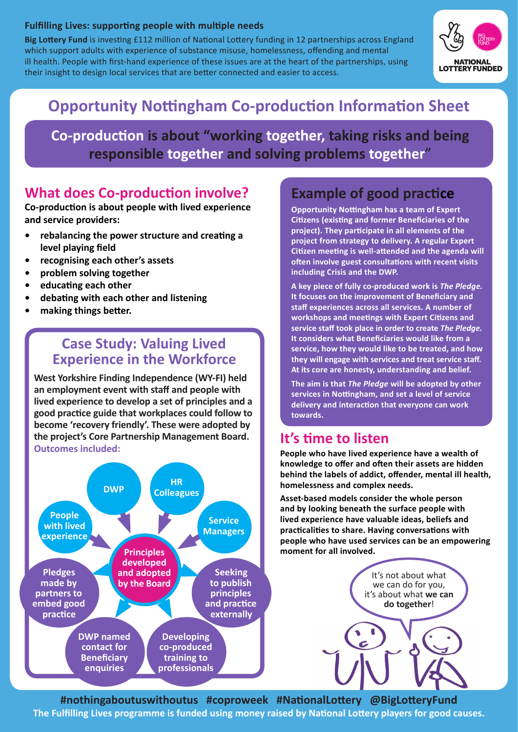### **Fulfilling Lives: supporting people with multiple needs**

**Big Lottery Fund** is investing £112 million of National Lottery funding in 12 partnerships across England which support adults with experience of substance misuse, homelessness, offending and mental ill health. People with first-hand experience of these issues are at the heart of the partnerships, using their insight to design local services that are better connected and easier to access.



# **Opportunity Nottingham Co-production Information Sheet**

Co-production is about "working together, taking risks and being responsible together and solving problems together"

## **What does Co-production involve?**

**Co-production is about people with lived experience and service providers:**

- **• rebalancing the power structure and creating a level playing field**
- **• recognising each other's assets**
- **• problem solving together**
- **• educating each other**
- **• debating with each other and listening**
- **• making things better.**

### **Case Study: Valuing Lived Experience in the Workforce**

**West Yorkshire Finding Independence (WY-FI) held an employment event with staff and people with lived experience to develop a set of principles and a good practice guide that workplaces could follow to become 'recovery friendly'. These were adopted by the project's Core Partnership Management Board. Outcomes included:**



## **Example of good practice**

**Opportunity Nottingham has a team of Expert Citizens (existing and former Beneficiaries of the project). They participate in all elements of the project from strategy to delivery. A regular Expert Citizen meeting is well-attended and the agenda will often involve guest consultations with recent visits including Crisis and the DWP.**

**A key piece of fully co-produced work is** *The Pledge.* **It focuses on the improvement of Beneficiary and staff experiences across all services. A number of workshops and meetings with Expert Citizens and service staff took place in order to create** *The Pledge.* **It considers what Beneficiaries would like from a service, how they would like to be treated, and how they will engage with services and treat service staff. At its core are honesty, understanding and belief.**

**The aim is that** *The Pledge* **will be adopted by other services in Nottingham, and set a level of service delivery and interaction that everyone can work towards.**

## **It's time to listen**

**People who have lived experience have a wealth of knowledge to offer and often their assets are hidden behind the labels of addict, offender, mental ill health, homelessness and complex needs.** 

**Asset-based models consider the whole person and by looking beneath the surface people with lived experience have valuable ideas, beliefs and practicalities to share. Having conversations with people who have used services can be an empowering moment for all involved.**

It's not about what

we can do for you, it's about what **we can do together**!

**#nothingaboutuswithoutus #coproweek #NationalLottery @BigLotteryFund The Fulfilling Lives programme is funded using money raised by National Lottery players for good causes.**